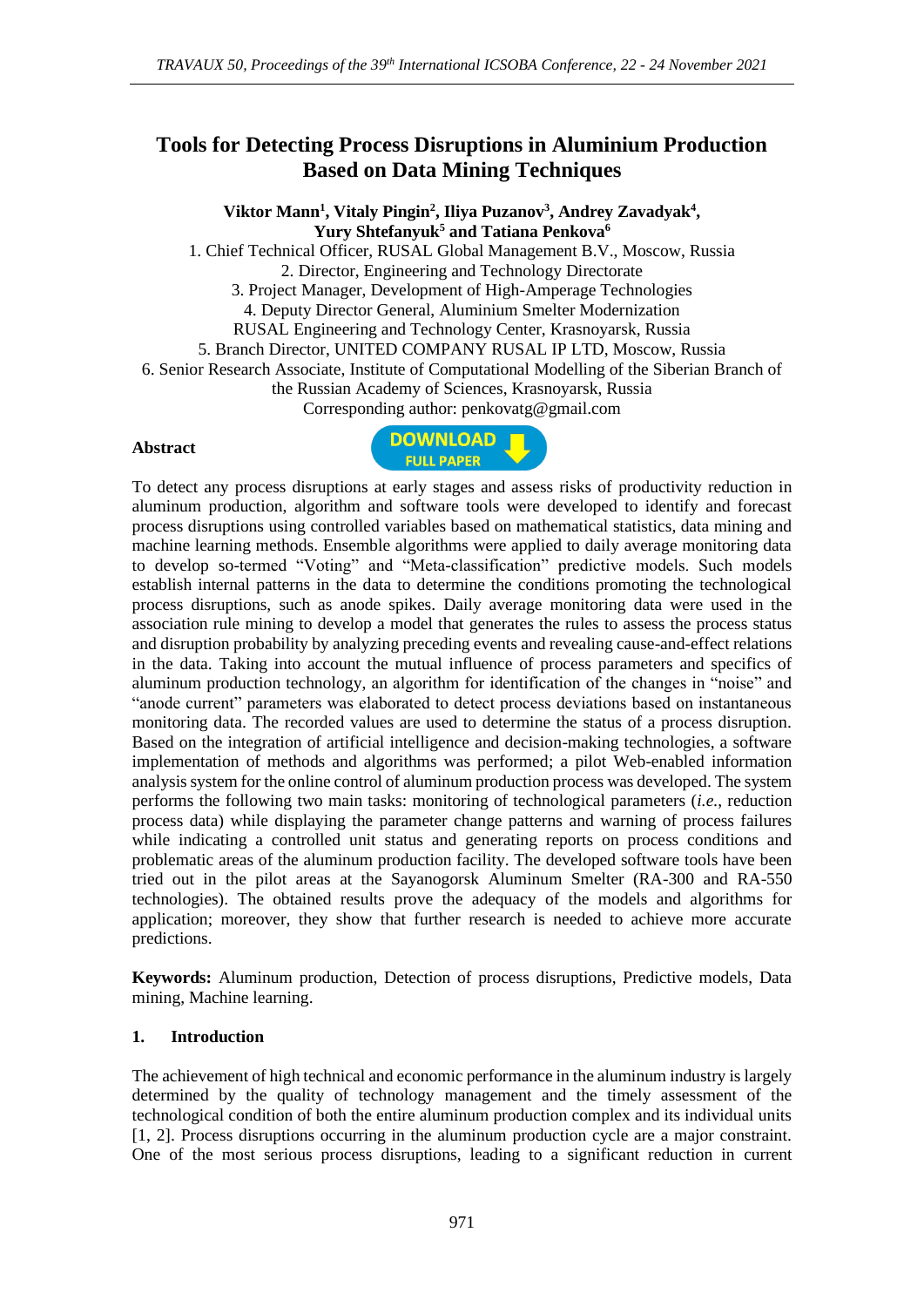# **Tools for Detecting Process Disruptions in Aluminium Production Based on Data Mining Techniques**

**Viktor Mann<sup>1</sup> , Vitaly Pingin<sup>2</sup> , Iliya Puzanov<sup>3</sup> , Andrey Zavadyak<sup>4</sup> , Yury Shtefanyuk<sup>5</sup> and Tatiana Penkova<sup>6</sup>** 1. Chief Technical Officer, RUSAL Global Management B.V., Moscow, Russia 2. Director, Engineering and Technology Directorate 3. Project Manager, Development of High-Amperage Technologies 4. Deputy Director General, Aluminium Smelter Modernization RUSAL Engineering and Technology Center, Krasnoyarsk, Russia 5. Branch Director, UNITED COMPANY RUSAL IP LTD, Moscow, Russia 6. Senior Research Associate, Institute of Computational Modelling of the Siberian Branch of the Russian Academy of Sciences, Krasnoyarsk, Russia Corresponding author: penkovatg@gmail.com

#### **Abstract**



To detect any process disruptions at early stages and assess risks of productivity reduction in aluminum production, algorithm and software tools were developed to identify and forecast process disruptions using controlled variables based on mathematical statistics, data mining and machine learning methods. Ensemble algorithms were applied to daily average monitoring data to develop so-termed "Voting" and "Meta-classification" predictive models. Such models establish internal patterns in the data to determine the conditions promoting the technological process disruptions, such as anode spikes. Daily average monitoring data were used in the association rule mining to develop a model that generates the rules to assess the process status and disruption probability by analyzing preceding events and revealing cause-and-effect relations in the data. Taking into account the mutual influence of process parameters and specifics of aluminum production technology, an algorithm for identification of the changes in "noise" and "anode current" parameters was elaborated to detect process deviations based on instantaneous monitoring data. The recorded values are used to determine the status of a process disruption. Based on the integration of artificial intelligence and decision-making technologies, a software implementation of methods and algorithms was performed; a pilot Web-enabled information analysis system for the online control of aluminum production process was developed. The system performs the following two main tasks: monitoring of technological parameters (*i.e.*, reduction process data) while displaying the parameter change patterns and warning of process failures while indicating a controlled unit status and generating reports on process conditions and problematic areas of the aluminum production facility. The developed software tools have been tried out in the pilot areas at the Sayanogorsk Aluminum Smelter (RA-300 and RA-550 technologies). The obtained results prove the adequacy of the models and algorithms for application; moreover, they show that further research is needed to achieve more accurate predictions.

**Keywords:** Aluminum production, Detection of process disruptions, Predictive models, Data mining, Machine learning.

### **1. Introduction**

The achievement of high technical and economic performance in the aluminum industry is largely determined by the quality of technology management and the timely assessment of the technological condition of both the entire aluminum production complex and its individual units [1, 2]. Process disruptions occurring in the aluminum production cycle are a major constraint. One of the most serious process disruptions, leading to a significant reduction in current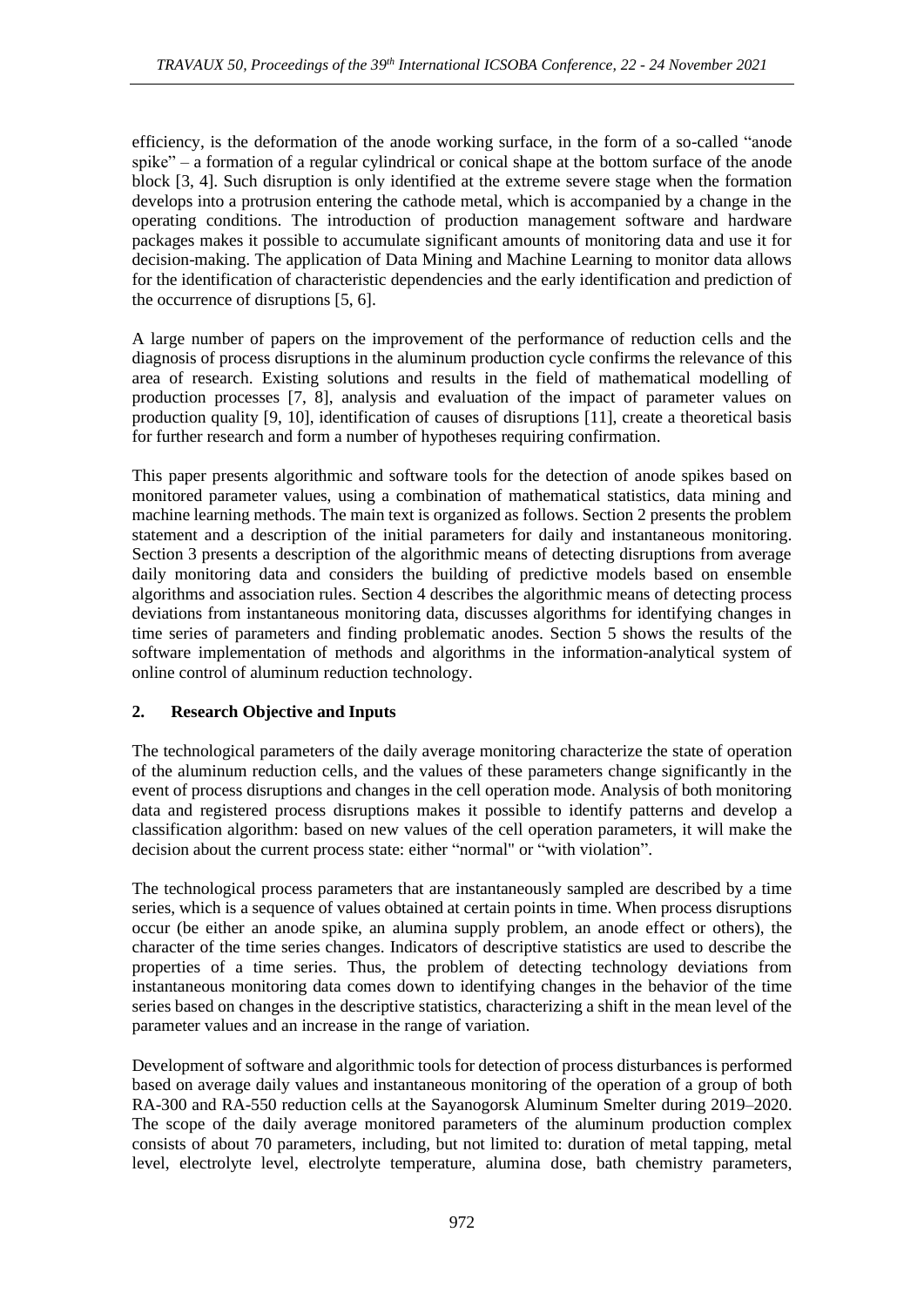efficiency, is the deformation of the anode working surface, in the form of a so-called "anode spike" – a formation of a regular cylindrical or conical shape at the bottom surface of the anode block [3, 4]. Such disruption is only identified at the extreme severe stage when the formation develops into a protrusion entering the cathode metal, which is accompanied by a change in the operating conditions. The introduction of production management software and hardware packages makes it possible to accumulate significant amounts of monitoring data and use it for decision-making. The application of Data Mining and Machine Learning to monitor data allows for the identification of characteristic dependencies and the early identification and prediction of the occurrence of disruptions [5, 6].

A large number of papers on the improvement of the performance of reduction cells and the diagnosis of process disruptions in the aluminum production cycle confirms the relevance of this area of research. Existing solutions and results in the field of mathematical modelling of production processes [7, 8], analysis and evaluation of the impact of parameter values on production quality [9, 10], identification of causes of disruptions [11], create a theoretical basis for further research and form a number of hypotheses requiring confirmation.

This paper presents algorithmic and software tools for the detection of anode spikes based on monitored parameter values, using a combination of mathematical statistics, data mining and machine learning methods. The main text is organized as follows. Section 2 presents the problem statement and a description of the initial parameters for daily and instantaneous monitoring. Section 3 presents a description of the algorithmic means of detecting disruptions from average daily monitoring data and considers the building of predictive models based on ensemble algorithms and association rules. Section 4 describes the algorithmic means of detecting process deviations from instantaneous monitoring data, discusses algorithms for identifying changes in time series of parameters and finding problematic anodes. Section 5 shows the results of the software implementation of methods and algorithms in the information-analytical system of online control of aluminum reduction technology.

## **2. Research Objective and Inputs**

The technological parameters of the daily average monitoring characterize the state of operation of the aluminum reduction cells, and the values of these parameters change significantly in the event of process disruptions and changes in the cell operation mode. Analysis of both monitoring data and registered process disruptions makes it possible to identify patterns and develop a classification algorithm: based on new values of the cell operation parameters, it will make the decision about the current process state: either "normal" or "with violation".

The technological process parameters that are instantaneously sampled are described by a time series, which is a sequence of values obtained at certain points in time. When process disruptions occur (be either an anode spike, an alumina supply problem, an anode effect or others), the character of the time series changes. Indicators of descriptive statistics are used to describe the properties of a time series. Thus, the problem of detecting technology deviations from instantaneous monitoring data comes down to identifying changes in the behavior of the time series based on changes in the descriptive statistics, characterizing a shift in the mean level of the parameter values and an increase in the range of variation.

Development of software and algorithmic tools for detection of process disturbances is performed based on average daily values and instantaneous monitoring of the operation of a group of both RA-300 and RA-550 reduction cells at the Sayanogorsk Aluminum Smelter during 2019–2020. The scope of the daily average monitored parameters of the aluminum production complex consists of about 70 parameters, including, but not limited to: duration of metal tapping, metal level, electrolyte level, electrolyte temperature, alumina dose, bath chemistry parameters,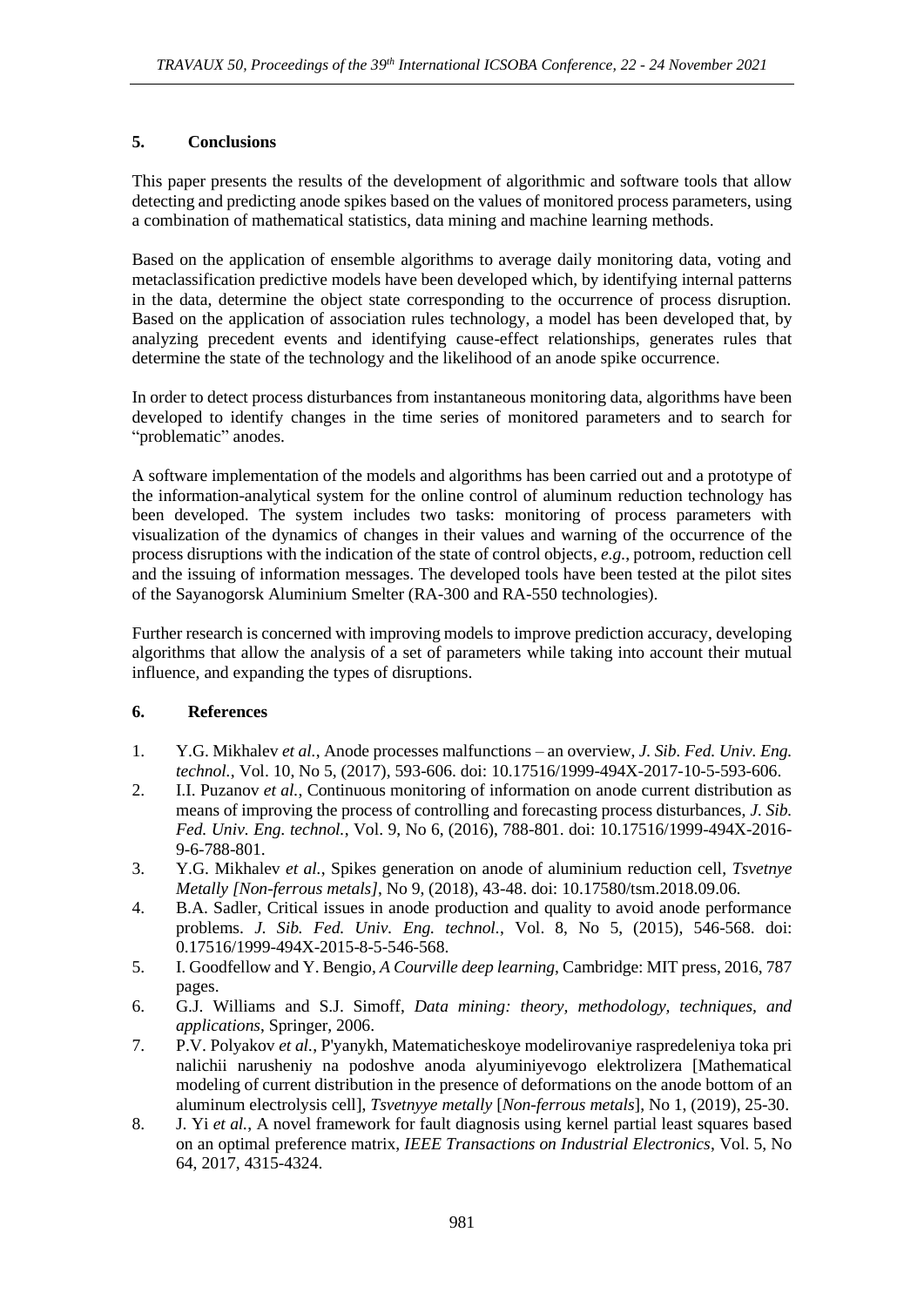### **5. Conclusions**

This paper presents the results of the development of algorithmic and software tools that allow detecting and predicting anode spikes based on the values of monitored process parameters, using a combination of mathematical statistics, data mining and machine learning methods.

Based on the application of ensemble algorithms to average daily monitoring data, voting and metaclassification predictive models have been developed which, by identifying internal patterns in the data, determine the object state corresponding to the occurrence of process disruption. Based on the application of association rules technology, a model has been developed that, by analyzing precedent events and identifying cause-effect relationships, generates rules that determine the state of the technology and the likelihood of an anode spike occurrence.

In order to detect process disturbances from instantaneous monitoring data, algorithms have been developed to identify changes in the time series of monitored parameters and to search for "problematic" anodes.

A software implementation of the models and algorithms has been carried out and a prototype of the information-analytical system for the online control of aluminum reduction technology has been developed. The system includes two tasks: monitoring of process parameters with visualization of the dynamics of changes in their values and warning of the occurrence of the process disruptions with the indication of the state of control objects, *e.g.*, potroom, reduction cell and the issuing of information messages. The developed tools have been tested at the pilot sites of the Sayanogorsk Aluminium Smelter (RA-300 and RA-550 technologies).

Further research is concerned with improving models to improve prediction accuracy, developing algorithms that allow the analysis of a set of parameters while taking into account their mutual influence, and expanding the types of disruptions.

### **6. References**

- 1. Y.G. Mikhalev *et al.*, Anode processes malfunctions an overview, *J. Sib. Fed. Univ. Eng. technol.*, Vol. 10, No 5, (2017), 593-606. doi: 10.17516/1999-494X-2017-10-5-593-606.
- 2. I.I. Puzanov *et al.*, Continuous monitoring of information on anode current distribution as means of improving the process of controlling and forecasting process disturbances, *J. Sib. Fed. Univ. Eng. technol.*, Vol. 9, No 6, (2016), 788-801. doi: 10.17516/1999-494X-2016- 9-6-788-801.
- 3. Y.G. Mikhalev *et al.*, Spikes generation on anode of aluminium reduction cell, *Tsvetnye Metally [Non-ferrous metals]*, No 9, (2018), 43-48. doi: 10.17580/tsm.2018.09.06.
- 4. B.A. Sadler, Critical issues in anode production and quality to avoid anode performance problems. *J. Sib. Fed. Univ. Eng. technol.*, Vol. 8, No 5, (2015), 546-568. doi: 0.17516/1999-494X-2015-8-5-546-568.
- 5. I. Goodfellow and Y. Bengio, *A Courville deep learning*, Cambridge: MIT press, 2016, 787 pages.
- 6. G.J. Williams and S.J. Simoff, *Data mining: theory, methodology, techniques, and applications*, Springer, 2006.
- 7. P.V. Polyakov *et al.*, P'yanykh, Matematicheskoye modelirovaniye raspredeleniya toka pri nalichii narusheniy na podoshve anoda alyuminiyevogo elektrolizera [Mathematical modeling of current distribution in the presence of deformations on the anode bottom of an aluminum electrolysis cell], *Tsvetnyye metally* [*Non-ferrous metals*], No 1, (2019), 25-30.
- 8. J. Yi *et al.*, A novel framework for fault diagnosis using kernel partial least squares based on an optimal preference matrix, *IEEE Transactions on Industrial Electronics*, Vol. 5, No 64, 2017, 4315-4324.